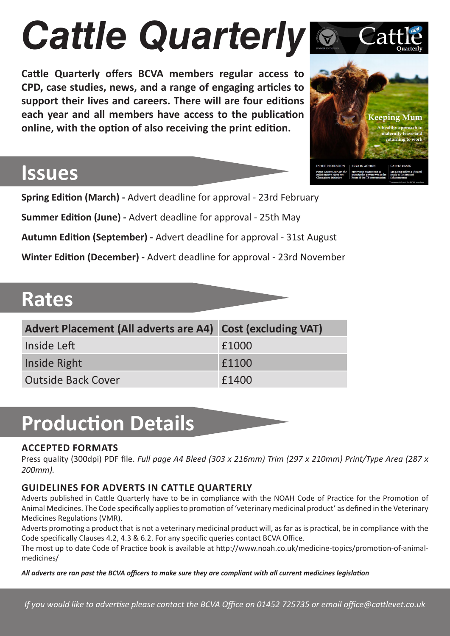# *Cattle Quarterly*

**Cattle Quarterly offers BCVA members regular access to CPD, case studies, news, and a range of engaging articles to support their lives and careers. There will are four editions each year and all members have access to the publication online, with the option of also receiving the print edition.** 

## Keeping Mum returning to work **CATTLE CASES**

### **Issues**

**Spring Edition (March) -** Advert deadline for approval - 23rd February **Summer Edition (June) -** Advert deadline for approval - 25th May **Autumn Edition (September) -** Advert deadline for approval - 31st August **Winter Edition (December) -** Advert deadline for approval - 23rd November

### **Rates**

| Advert Placement (All adverts are A4) Cost (excluding VAT) |       |
|------------------------------------------------------------|-------|
| Inside Left                                                | £1000 |
| Inside Right                                               | £1100 |
| <b>Outside Back Cover</b>                                  | £1400 |

## **Production Details**

### **ACCEPTED FORMATS**

Press quality (300dpi) PDF file. *Full page A4 Bleed (303 x 216mm) Trim (297 x 210mm) Print/Type Area (287 x 200mm).*

### **GUIDELINES FOR ADVERTS IN CATTLE QUARTERLY**

Adverts published in Cattle Quarterly have to be in compliance with the NOAH Code of Practice for the Promotion of Animal Medicines. The Code specifically applies to promotion of 'veterinary medicinal product' as defined in the Veterinary Medicines Regulations (VMR).

Adverts promoting a product that is not a veterinary medicinal product will, as far as is practical, be in compliance with the Code specifically Clauses 4.2, 4.3 & 6.2. For any specific queries contact BCVA Office.

The most up to date Code of Practice book is available at http://www.noah.co.uk/medicine-topics/promotion-of-animalmedicines/

*All adverts are ran past the BCVA officers to make sure they are compliant with all current medicines legislation*